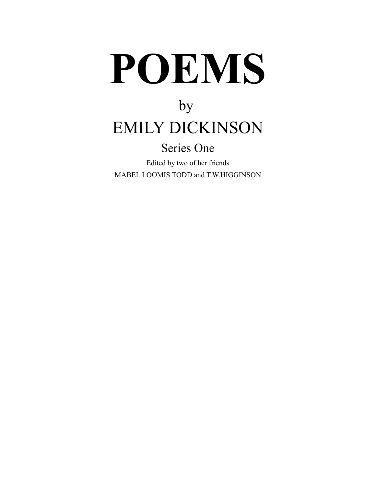# **POEMS**

# by EMILY DICKINSON

### Series One

Edited by two of her friends MABEL LOOMIS TODD and T.W.HIGGINSON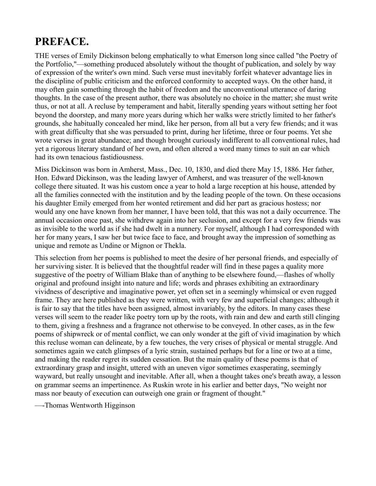### **PREFACE.**

THE verses of Emily Dickinson belong emphatically to what Emerson long since called "the Poetry of the Portfolio,"—something produced absolutely without the thought of publication, and solely by way of expression of the writer's own mind. Such verse must inevitably forfeit whatever advantage lies in the discipline of public criticism and the enforced conformity to accepted ways. On the other hand, it may often gain something through the habit of freedom and the unconventional utterance of daring thoughts. In the case of the present author, there was absolutely no choice in the matter; she must write thus, or not at all. A recluse by temperament and habit, literally spending years without setting her foot beyond the doorstep, and many more years during which her walks were strictly limited to her father's grounds, she habitually concealed her mind, like her person, from all but a very few friends; and it was with great difficulty that she was persuaded to print, during her lifetime, three or four poems. Yet she wrote verses in great abundance; and though brought curiously indifferent to all conventional rules, had yet a rigorous literary standard of her own, and often altered a word many times to suit an ear which had its own tenacious fastidiousness.

Miss Dickinson was born in Amherst, Mass., Dec. 10, 1830, and died there May 15, 1886. Her father, Hon. Edward Dickinson, was the leading lawyer of Amherst, and was treasurer of the well-known college there situated. It was his custom once a year to hold a large reception at his house, attended by all the families connected with the institution and by the leading people of the town. On these occasions his daughter Emily emerged from her wonted retirement and did her part as gracious hostess; nor would any one have known from her manner, I have been told, that this was not a daily occurrence. The annual occasion once past, she withdrew again into her seclusion, and except for a very few friends was as invisible to the world as if she had dwelt in a nunnery. For myself, although I had corresponded with her for many years, I saw her but twice face to face, and brought away the impression of something as unique and remote as Undine or Mignon or Thekla.

This selection from her poems is published to meet the desire of her personal friends, and especially of her surviving sister. It is believed that the thoughtful reader will find in these pages a quality more suggestive of the poetry of William Blake than of anything to be elsewhere found,—flashes of wholly original and profound insight into nature and life; words and phrases exhibiting an extraordinary vividness of descriptive and imaginative power, yet often set in a seemingly whimsical or even rugged frame. They are here published as they were written, with very few and superficial changes; although it is fair to say that the titles have been assigned, almost invariably, by the editors. In many cases these verses will seem to the reader like poetry torn up by the roots, with rain and dew and earth still clinging to them, giving a freshness and a fragrance not otherwise to be conveyed. In other cases, as in the few poems of shipwreck or of mental conflict, we can only wonder at the gift of vivid imagination by which this recluse woman can delineate, by a few touches, the very crises of physical or mental struggle. And sometimes again we catch glimpses of a lyric strain, sustained perhaps but for a line or two at a time, and making the reader regret its sudden cessation. But the main quality of these poems is that of extraordinary grasp and insight, uttered with an uneven vigor sometimes exasperating, seemingly wayward, but really unsought and inevitable. After all, when a thought takes one's breath away, a lesson on grammar seems an impertinence. As Ruskin wrote in his earlier and better days, "No weight nor mass nor beauty of execution can outweigh one grain or fragment of thought."

—-Thomas Wentworth Higginson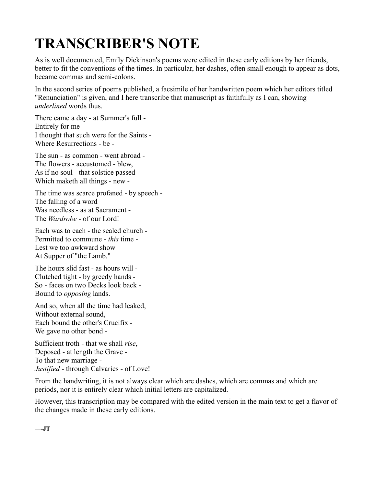# **TRANSCRIBER'S NOTE**

As is well documented, Emily Dickinson's poems were edited in these early editions by her friends, better to fit the conventions of the times. In particular, her dashes, often small enough to appear as dots, became commas and semi-colons.

In the second series of poems published, a facsimile of her handwritten poem which her editors titled "Renunciation" is given, and I here transcribe that manuscript as faithfully as I can, showing *underlined* words thus.

There came a day - at Summer's full - Entirely for me - I thought that such were for the Saints - Where Resurrections - be -

The sun - as common - went abroad - The flowers - accustomed - blew, As if no soul - that solstice passed - Which maketh all things - new -

The time was scarce profaned - by speech - The falling of a word Was needless - as at Sacrament - The *Wardrobe* - of our Lord!

Each was to each - the sealed church - Permitted to commune - *this* time - Lest we too awkward show At Supper of "the Lamb."

The hours slid fast - as hours will - Clutched tight - by greedy hands - So - faces on two Decks look back - Bound to *opposing* lands.

And so, when all the time had leaked, Without external sound, Each bound the other's Crucifix - We gave no other bond -

Sufficient troth - that we shall *rise*, Deposed - at length the Grave - To that new marriage - *Justified* - through Calvaries - of Love!

From the handwriting, it is not always clear which are dashes, which are commas and which are periods, nor it is entirely clear which initial letters are capitalized.

However, this transcription may be compared with the edited version in the main text to get a flavor of the changes made in these early editions.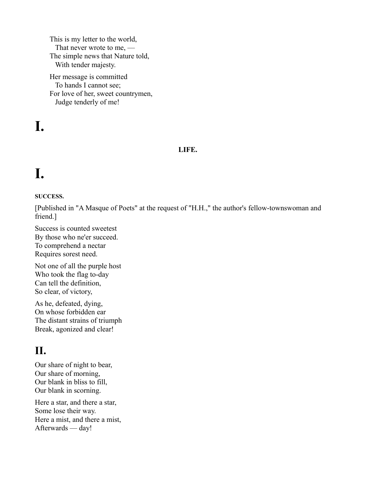This is my letter to the world, That never wrote to me, — The simple news that Nature told, With tender majesty.

Her message is committed To hands I cannot see; For love of her, sweet countrymen, Judge tenderly of me!

# **I.**

#### **LIFE.**

# **I.**

#### **SUCCESS.**

[Published in "A Masque of Poets" at the request of "H.H.," the author's fellow-townswoman and friend.]

Success is counted sweetest By those who ne'er succeed. To comprehend a nectar Requires sorest need.

Not one of all the purple host Who took the flag to-day Can tell the definition, So clear, of victory,

As he, defeated, dying, On whose forbidden ear The distant strains of triumph Break, agonized and clear!

### **II.**

Our share of night to bear, Our share of morning, Our blank in bliss to fill, Our blank in scorning.

Here a star, and there a star, Some lose their way. Here a mist, and there a mist, Afterwards — day!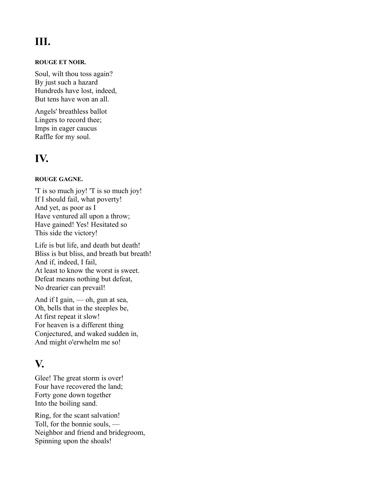### **III.**

#### **ROUGE ET NOIR.**

Soul, wilt thou toss again? By just such a hazard Hundreds have lost, indeed, But tens have won an all.

Angels' breathless ballot Lingers to record thee; Imps in eager caucus Raffle for my soul.

### **IV.**

#### **ROUGE GAGNE.**

'T is so much joy! 'T is so much joy! If I should fail, what poverty! And yet, as poor as I Have ventured all upon a throw; Have gained! Yes! Hesitated so This side the victory!

Life is but life, and death but death! Bliss is but bliss, and breath but breath! And if, indeed, I fail, At least to know the worst is sweet. Defeat means nothing but defeat, No drearier can prevail!

And if I gain, — oh, gun at sea, Oh, bells that in the steeples be, At first repeat it slow! For heaven is a different thing Conjectured, and waked sudden in, And might o'erwhelm me so!

### **V.**

Glee! The great storm is over! Four have recovered the land; Forty gone down together Into the boiling sand.

Ring, for the scant salvation! Toll, for the bonnie souls, — Neighbor and friend and bridegroom, Spinning upon the shoals!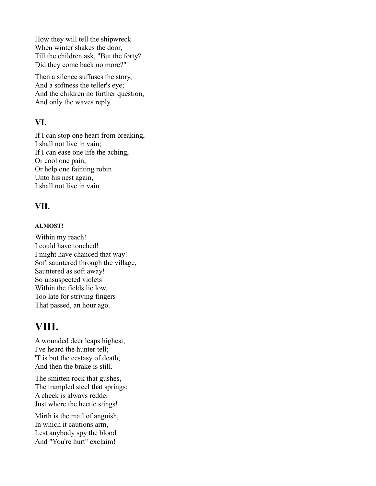How they will tell the shipwreck When winter shakes the door, Till the children ask, "But the forty? Did they come back no more?"

Then a silence suffuses the story, And a softness the teller's eye; And the children no further question, And only the waves reply.

#### **VI.**

If I can stop one heart from breaking, I shall not live in vain; If I can ease one life the aching, Or cool one pain, Or help one fainting robin Unto his nest again, I shall not live in vain.

#### **VII.**

#### **ALMOST!**

Within my reach! I could have touched! I might have chanced that way! Soft sauntered through the village, Sauntered as soft away! So unsuspected violets Within the fields lie low, Too late for striving fingers That passed, an hour ago.

### **VIII.**

A wounded deer leaps highest, I've heard the hunter tell; 'T is but the ecstasy of death, And then the brake is still.

The smitten rock that gushes, The trampled steel that springs; A cheek is always redder Just where the hectic stings!

Mirth is the mail of anguish, In which it cautions arm, Lest anybody spy the blood And "You're hurt" exclaim!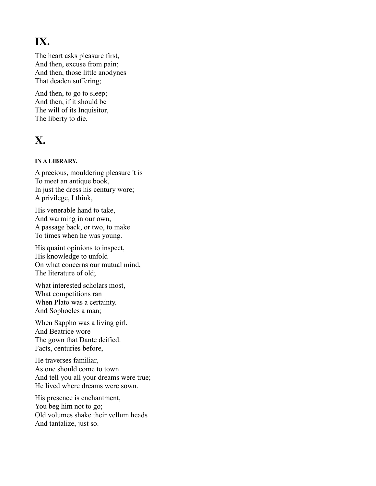### **IX.**

The heart asks pleasure first, And then, excuse from pain; And then, those little anodynes That deaden suffering;

And then, to go to sleep; And then, if it should be The will of its Inquisitor, The liberty to die.

### **X.**

#### **IN A LIBRARY.**

A precious, mouldering pleasure 't is To meet an antique book, In just the dress his century wore; A privilege, I think,

His venerable hand to take, And warming in our own, A passage back, or two, to make To times when he was young.

His quaint opinions to inspect, His knowledge to unfold On what concerns our mutual mind, The literature of old;

What interested scholars most, What competitions ran When Plato was a certainty. And Sophocles a man;

When Sappho was a living girl, And Beatrice wore The gown that Dante deified. Facts, centuries before,

He traverses familiar, As one should come to town And tell you all your dreams were true; He lived where dreams were sown.

His presence is enchantment, You beg him not to go; Old volumes shake their vellum heads And tantalize, just so.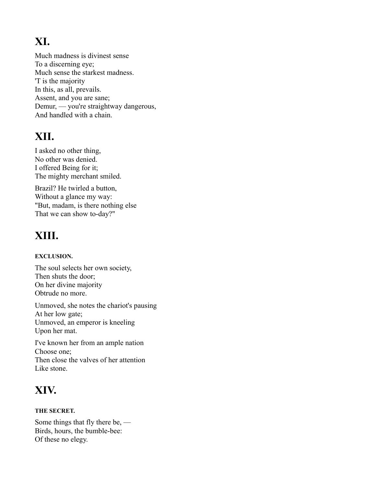### **XI.**

Much madness is divinest sense To a discerning eye; Much sense the starkest madness. 'T is the majority In this, as all, prevails. Assent, and you are sane; Demur, — you're straightway dangerous, And handled with a chain.

### **XII.**

I asked no other thing, No other was denied. I offered Being for it; The mighty merchant smiled.

Brazil? He twirled a button, Without a glance my way: "But, madam, is there nothing else That we can show to-day?"

### **XIII.**

#### **EXCLUSION.**

The soul selects her own society, Then shuts the door; On her divine majority Obtrude no more.

Unmoved, she notes the chariot's pausing At her low gate; Unmoved, an emperor is kneeling Upon her mat.

I've known her from an ample nation Choose one; Then close the valves of her attention Like stone.

### **XIV.**

#### **THE SECRET.**

Some things that fly there be, — Birds, hours, the bumble-bee: Of these no elegy.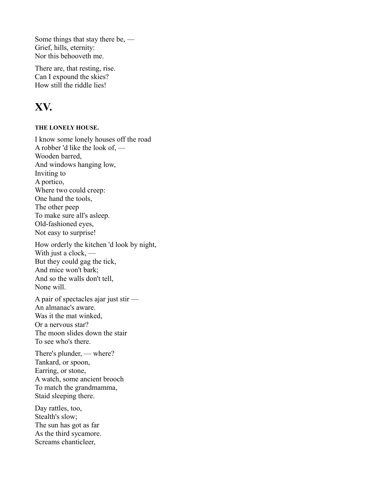Some things that stay there be, — Grief, hills, eternity: Nor this behooveth me.

There are, that resting, rise. Can I expound the skies? How still the riddle lies!

### **XV.**

#### **THE LONELY HOUSE.**

I know some lonely houses off the road A robber 'd like the look of, — Wooden barred, And windows hanging low, Inviting to A portico, Where two could creep: One hand the tools, The other peep To make sure all's asleep. Old-fashioned eyes, Not easy to surprise!

How orderly the kitchen 'd look by night, With just a clock, — But they could gag the tick, And mice won't bark; And so the walls don't tell, None will.

A pair of spectacles ajar just stir — An almanac's aware. Was it the mat winked, Or a nervous star? The moon slides down the stair To see who's there.

There's plunder, — where? Tankard, or spoon, Earring, or stone, A watch, some ancient brooch To match the grandmamma, Staid sleeping there.

Day rattles, too, Stealth's slow; The sun has got as far As the third sycamore. Screams chanticleer,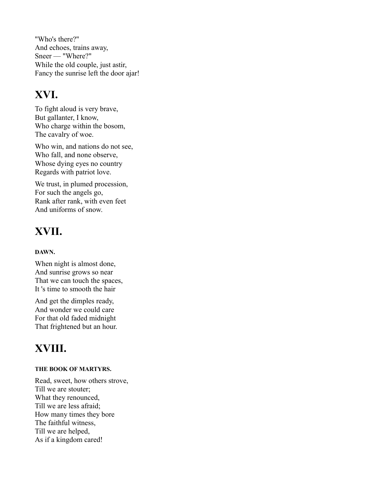"Who's there?" And echoes, trains away, Sneer — "Where?" While the old couple, just astir, Fancy the sunrise left the door ajar!

### **XVI.**

To fight aloud is very brave, But gallanter, I know, Who charge within the bosom, The cavalry of woe.

Who win, and nations do not see, Who fall, and none observe, Whose dying eyes no country Regards with patriot love.

We trust, in plumed procession, For such the angels go, Rank after rank, with even feet And uniforms of snow.

### **XVII.**

#### **DAWN.**

When night is almost done, And sunrise grows so near That we can touch the spaces, It 's time to smooth the hair

And get the dimples ready, And wonder we could care For that old faded midnight That frightened but an hour.

### **XVIII.**

#### **THE BOOK OF MARTYRS.**

Read, sweet, how others strove, Till we are stouter; What they renounced, Till we are less afraid; How many times they bore The faithful witness, Till we are helped, As if a kingdom cared!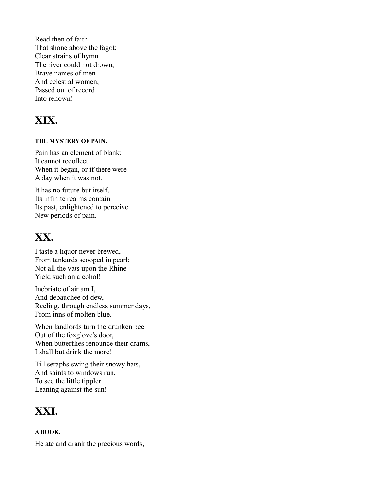Read then of faith That shone above the fagot; Clear strains of hymn The river could not drown; Brave names of men And celestial women, Passed out of record Into renown!

### **XIX.**

#### **THE MYSTERY OF PAIN.**

Pain has an element of blank; It cannot recollect When it began, or if there were A day when it was not.

It has no future but itself, Its infinite realms contain Its past, enlightened to perceive New periods of pain.

### **XX.**

I taste a liquor never brewed, From tankards scooped in pearl; Not all the vats upon the Rhine Yield such an alcohol!

Inebriate of air am I, And debauchee of dew, Reeling, through endless summer days, From inns of molten blue.

When landlords turn the drunken bee Out of the foxglove's door, When butterflies renounce their drams, I shall but drink the more!

Till seraphs swing their snowy hats, And saints to windows run, To see the little tippler Leaning against the sun!

### **XXI.**

#### **A BOOK.**

He ate and drank the precious words,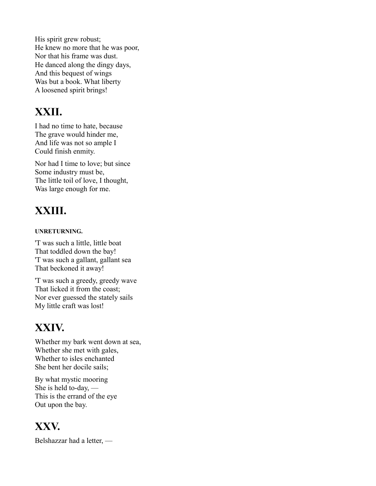His spirit grew robust; He knew no more that he was poor, Nor that his frame was dust. He danced along the dingy days, And this bequest of wings Was but a book. What liberty A loosened spirit brings!

### **XXII.**

I had no time to hate, because The grave would hinder me, And life was not so ample I Could finish enmity.

Nor had I time to love; but since Some industry must be, The little toil of love, I thought, Was large enough for me.

## **XXIII.**

#### **UNRETURNING.**

'T was such a little, little boat That toddled down the bay! 'T was such a gallant, gallant sea That beckoned it away!

'T was such a greedy, greedy wave That licked it from the coast; Nor ever guessed the stately sails My little craft was lost!

### **XXIV.**

Whether my bark went down at sea, Whether she met with gales, Whether to isles enchanted She bent her docile sails;

By what mystic mooring She is held to-day, — This is the errand of the eye Out upon the bay.

### **XXV.**

Belshazzar had a letter, —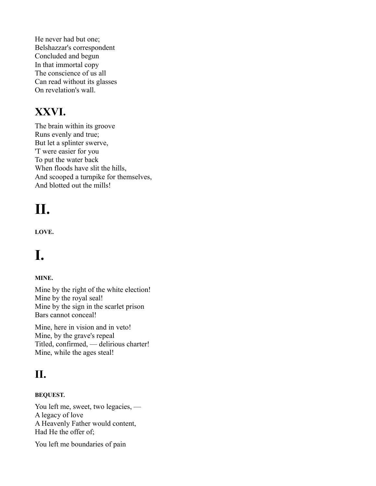He never had but one; Belshazzar's correspondent Concluded and begun In that immortal copy The conscience of us all Can read without its glasses On revelation's wall.

### **XXVI.**

The brain within its groove Runs evenly and true; But let a splinter swerve, 'T were easier for you To put the water back When floods have slit the hills, And scooped a turnpike for themselves, And blotted out the mills!

# **II.**

**LOVE.**

# **I.**

#### **MINE.**

Mine by the right of the white election! Mine by the royal seal! Mine by the sign in the scarlet prison Bars cannot conceal!

Mine, here in vision and in veto! Mine, by the grave's repeal Titled, confirmed, — delirious charter! Mine, while the ages steal!

### **II.**

#### **BEQUEST.**

You left me, sweet, two legacies, — A legacy of love A Heavenly Father would content, Had He the offer of;

You left me boundaries of pain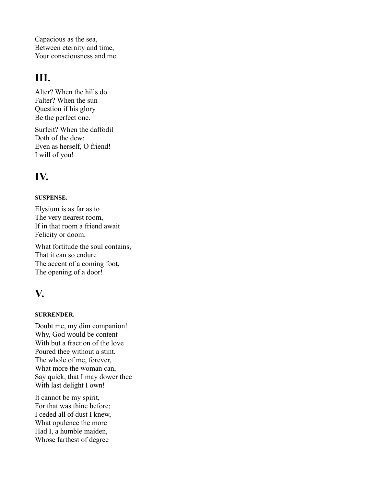Capacious as the sea, Between eternity and time, Your consciousness and me.

### **III.**

Alter? When the hills do. Falter? When the sun Question if his glory Be the perfect one.

Surfeit? When the daffodil Doth of the dew: Even as herself, O friend! I will of you!

### **IV.**

#### **SUSPENSE.**

Elysium is as far as to The very nearest room, If in that room a friend await Felicity or doom.

What fortitude the soul contains, That it can so endure The accent of a coming foot, The opening of a door!

### **V.**

#### **SURRENDER.**

Doubt me, my dim companion! Why, God would be content With but a fraction of the love Poured thee without a stint. The whole of me, forever, What more the woman can, — Say quick, that I may dower thee With last delight I own!

It cannot be my spirit, For that was thine before; I ceded all of dust I knew, — What opulence the more Had I, a humble maiden, Whose farthest of degree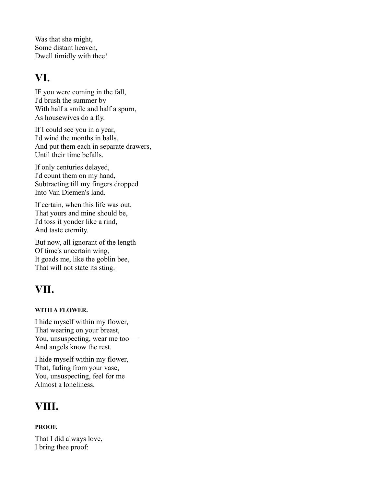Was that she might, Some distant heaven, Dwell timidly with thee!

### **VI.**

IF you were coming in the fall, I'd brush the summer by With half a smile and half a spurn, As housewives do a fly.

If I could see you in a year, I'd wind the months in balls, And put them each in separate drawers, Until their time befalls.

If only centuries delayed, I'd count them on my hand, Subtracting till my fingers dropped Into Van Diemen's land.

If certain, when this life was out, That yours and mine should be, I'd toss it yonder like a rind, And taste eternity.

But now, all ignorant of the length Of time's uncertain wing, It goads me, like the goblin bee, That will not state its sting.

### **VII.**

#### **WITH A FLOWER.**

I hide myself within my flower, That wearing on your breast, You, unsuspecting, wear me too — And angels know the rest.

I hide myself within my flower, That, fading from your vase, You, unsuspecting, feel for me Almost a loneliness.

### **VIII.**

#### **PROOF.**

That I did always love, I bring thee proof: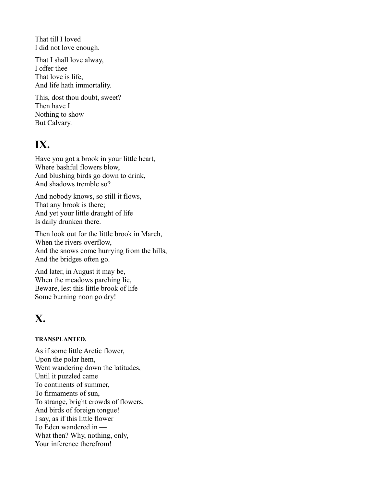That till I loved I did not love enough.

That I shall love alway, I offer thee That love is life, And life hath immortality.

This, dost thou doubt, sweet? Then have I Nothing to show But Calvary.

### **IX.**

Have you got a brook in your little heart, Where bashful flowers blow, And blushing birds go down to drink, And shadows tremble so?

And nobody knows, so still it flows, That any brook is there; And yet your little draught of life Is daily drunken there.

Then look out for the little brook in March, When the rivers overflow, And the snows come hurrying from the hills, And the bridges often go.

And later, in August it may be, When the meadows parching lie, Beware, lest this little brook of life Some burning noon go dry!

### **X.**

#### **TRANSPLANTED.**

As if some little Arctic flower, Upon the polar hem, Went wandering down the latitudes, Until it puzzled came To continents of summer, To firmaments of sun, To strange, bright crowds of flowers, And birds of foreign tongue! I say, as if this little flower To Eden wandered in — What then? Why, nothing, only, Your inference therefrom!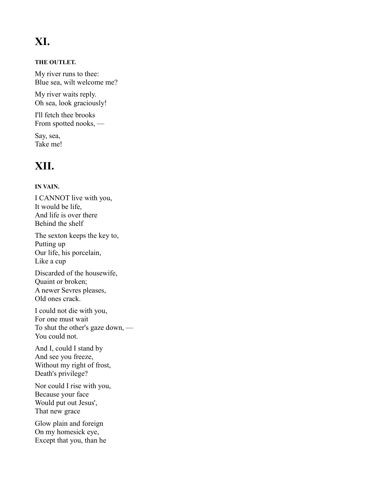### **XI.**

#### **THE OUTLET.**

My river runs to thee: Blue sea, wilt welcome me?

My river waits reply. Oh sea, look graciously!

I'll fetch thee brooks From spotted nooks, —

Say, sea, Take me!

### **XII.**

#### **IN VAIN.**

I CANNOT live with you, It would be life, And life is over there Behind the shelf

The sexton keeps the key to, Putting up Our life, his porcelain, Like a cup

Discarded of the housewife, Quaint or broken; A newer Sevres pleases, Old ones crack.

I could not die with you, For one must wait To shut the other's gaze down, — You could not.

And I, could I stand by And see you freeze, Without my right of frost, Death's privilege?

Nor could I rise with you, Because your face Would put out Jesus', That new grace

Glow plain and foreign On my homesick eye, Except that you, than he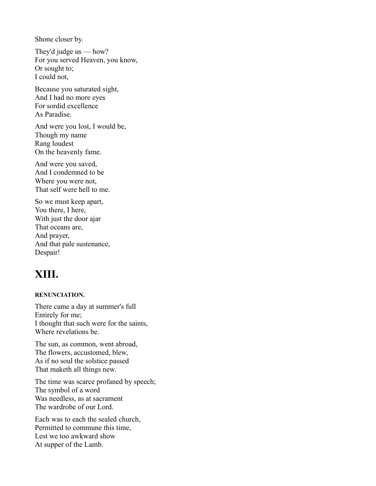Shone closer by.

They'd judge us — how? For you served Heaven, you know, Or sought to; I could not,

Because you saturated sight, And I had no more eyes For sordid excellence As Paradise.

And were you lost, I would be, Though my name Rang loudest On the heavenly fame.

And were you saved, And I condemned to be Where you were not, That self were hell to me.

So we must keep apart, You there, I here, With just the door ajar That oceans are, And prayer, And that pale sustenance, Despair!

### **XIII.**

#### **RENUNCIATION.**

There came a day at summer's full Entirely for me; I thought that such were for the saints, Where revelations be.

The sun, as common, went abroad, The flowers, accustomed, blew, As if no soul the solstice passed That maketh all things new.

The time was scarce profaned by speech; The symbol of a word Was needless, as at sacrament The wardrobe of our Lord.

Each was to each the sealed church, Permitted to commune this time, Lest we too awkward show At supper of the Lamb.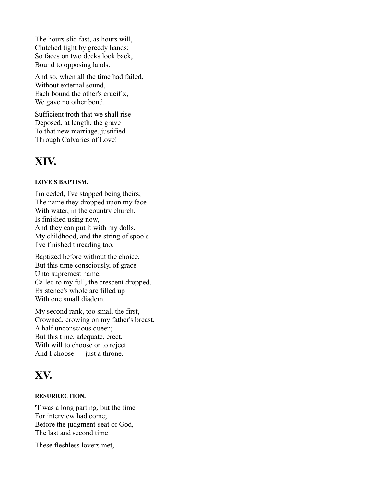The hours slid fast, as hours will, Clutched tight by greedy hands; So faces on two decks look back, Bound to opposing lands.

And so, when all the time had failed, Without external sound, Each bound the other's crucifix, We gave no other bond.

Sufficient troth that we shall rise — Deposed, at length, the grave — To that new marriage, justified Through Calvaries of Love!

### **XIV.**

#### **LOVE'S BAPTISM.**

I'm ceded, I've stopped being theirs; The name they dropped upon my face With water, in the country church, Is finished using now, And they can put it with my dolls, My childhood, and the string of spools I've finished threading too.

Baptized before without the choice, But this time consciously, of grace Unto supremest name, Called to my full, the crescent dropped, Existence's whole arc filled up With one small diadem.

My second rank, too small the first, Crowned, crowing on my father's breast, A half unconscious queen; But this time, adequate, erect, With will to choose or to reject. And I choose — just a throne.

### **XV.**

#### **RESURRECTION.**

'T was a long parting, but the time For interview had come; Before the judgment-seat of God, The last and second time

These fleshless lovers met,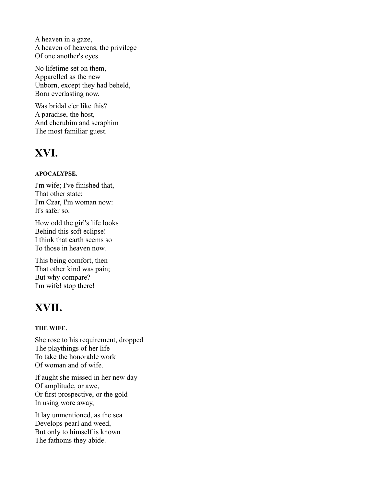A heaven in a gaze, A heaven of heavens, the privilege Of one another's eyes.

No lifetime set on them, Apparelled as the new Unborn, except they had beheld, Born everlasting now.

Was bridal e'er like this? A paradise, the host, And cherubim and seraphim The most familiar guest.

### **XVI.**

#### **APOCALYPSE.**

I'm wife; I've finished that, That other state; I'm Czar, I'm woman now: It's safer so.

How odd the girl's life looks Behind this soft eclipse! I think that earth seems so To those in heaven now.

This being comfort, then That other kind was pain; But why compare? I'm wife! stop there!

### **XVII.**

#### **THE WIFE.**

She rose to his requirement, dropped The playthings of her life To take the honorable work Of woman and of wife.

If aught she missed in her new day Of amplitude, or awe, Or first prospective, or the gold In using wore away,

It lay unmentioned, as the sea Develops pearl and weed, But only to himself is known The fathoms they abide.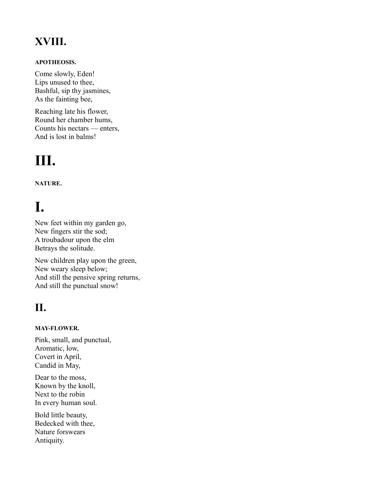### **XVIII.**

#### **APOTHEOSIS.**

Come slowly, Eden! Lips unused to thee, Bashful, sip thy jasmines, As the fainting bee,

Reaching late his flower, Round her chamber hums, Counts his nectars — enters, And is lost in balms!

# **III.**

**NATURE.**

# **I.**

New feet within my garden go, New fingers stir the sod; A troubadour upon the elm Betrays the solitude.

New children play upon the green, New weary sleep below; And still the pensive spring returns, And still the punctual snow!

### **II.**

#### **MAY-FLOWER.**

Pink, small, and punctual, Aromatic, low, Covert in April, Candid in May,

Dear to the moss, Known by the knoll, Next to the robin In every human soul.

Bold little beauty, Bedecked with thee, Nature forswears Antiquity.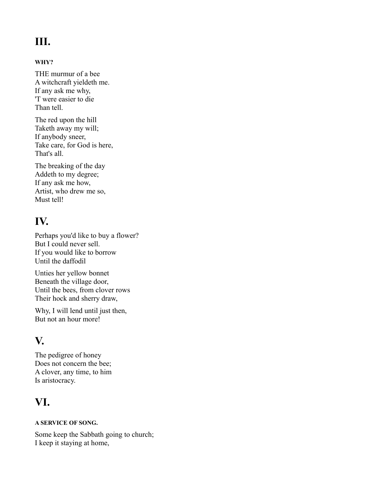### **III.**

#### **WHY?**

THE murmur of a bee A witchcraft yieldeth me. If any ask me why, 'T were easier to die Than tell.

The red upon the hill Taketh away my will; If anybody sneer, Take care, for God is here, That's all.

The breaking of the day Addeth to my degree; If any ask me how, Artist, who drew me so, Must tell!

### **IV.**

Perhaps you'd like to buy a flower? But I could never sell. If you would like to borrow Until the daffodil

Unties her yellow bonnet Beneath the village door, Until the bees, from clover rows Their hock and sherry draw,

Why, I will lend until just then, But not an hour more!

### **V.**

The pedigree of honey Does not concern the bee; A clover, any time, to him Is aristocracy.

### **VI.**

#### **A SERVICE OF SONG.**

Some keep the Sabbath going to church; I keep it staying at home,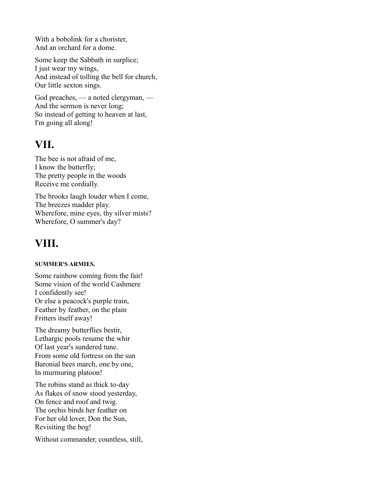With a bobolink for a chorister, And an orchard for a dome.

Some keep the Sabbath in surplice; I just wear my wings, And instead of tolling the bell for church, Our little sexton sings.

God preaches, — a noted clergyman, — And the sermon is never long; So instead of getting to heaven at last, I'm going all along!

### **VII.**

The bee is not afraid of me, I know the butterfly; The pretty people in the woods Receive me cordially.

The brooks laugh louder when I come, The breezes madder play. Wherefore, mine eyes, thy silver mists? Wherefore, O summer's day?

### **VIII.**

#### **SUMMER'S ARMIES.**

Some rainbow coming from the fair! Some vision of the world Cashmere I confidently see! Or else a peacock's purple train, Feather by feather, on the plain Fritters itself away!

The dreamy butterflies bestir, Lethargic pools resume the whir Of last year's sundered tune. From some old fortress on the sun Baronial bees march, one by one, In murmuring platoon!

The robins stand as thick to-day As flakes of snow stood yesterday, On fence and roof and twig. The orchis binds her feather on For her old lover, Don the Sun, Revisiting the bog!

Without commander, countless, still,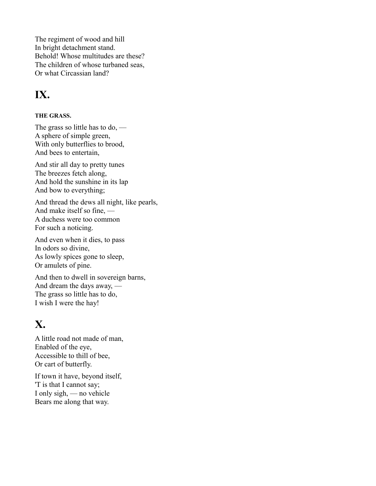The regiment of wood and hill In bright detachment stand. Behold! Whose multitudes are these? The children of whose turbaned seas, Or what Circassian land?

### **IX.**

#### **THE GRASS.**

The grass so little has to do, — A sphere of simple green, With only butterflies to brood, And bees to entertain,

And stir all day to pretty tunes The breezes fetch along, And hold the sunshine in its lap And bow to everything;

And thread the dews all night, like pearls, And make itself so fine, — A duchess were too common For such a noticing.

And even when it dies, to pass In odors so divine, As lowly spices gone to sleep, Or amulets of pine.

And then to dwell in sovereign barns, And dream the days away, — The grass so little has to do, I wish I were the hay!

### **X.**

A little road not made of man, Enabled of the eye, Accessible to thill of bee, Or cart of butterfly.

If town it have, beyond itself, 'T is that I cannot say; I only sigh, — no vehicle Bears me along that way.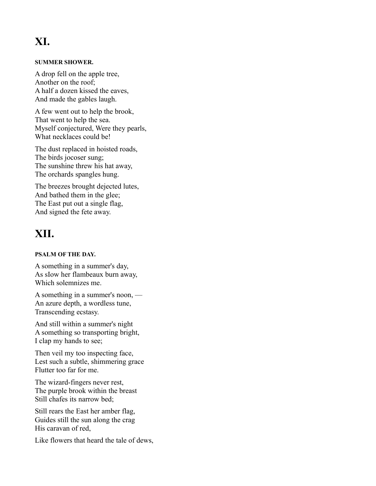### **XI.**

#### **SUMMER SHOWER.**

A drop fell on the apple tree, Another on the roof; A half a dozen kissed the eaves, And made the gables laugh.

A few went out to help the brook, That went to help the sea. Myself conjectured, Were they pearls, What necklaces could be!

The dust replaced in hoisted roads, The birds jocoser sung; The sunshine threw his hat away, The orchards spangles hung.

The breezes brought dejected lutes, And bathed them in the glee; The East put out a single flag, And signed the fete away.

### **XII.**

#### **PSALM OF THE DAY.**

A something in a summer's day, As sIow her flambeaux burn away, Which solemnizes me.

A something in a summer's noon, — An azure depth, a wordless tune, Transcending ecstasy.

And still within a summer's night A something so transporting bright, I clap my hands to see;

Then veil my too inspecting face, Lest such a subtle, shimmering grace Flutter too far for me.

The wizard-fingers never rest, The purple brook within the breast Still chafes its narrow bed;

Still rears the East her amber flag, Guides still the sun along the crag His caravan of red,

Like flowers that heard the tale of dews,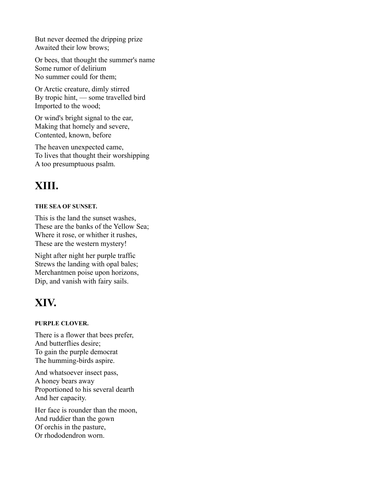But never deemed the dripping prize Awaited their low brows;

Or bees, that thought the summer's name Some rumor of delirium No summer could for them;

Or Arctic creature, dimly stirred By tropic hint, — some travelled bird Imported to the wood;

Or wind's bright signal to the ear, Making that homely and severe, Contented, known, before

The heaven unexpected came, To lives that thought their worshipping A too presumptuous psalm.

### **XIII.**

#### **THE SEA OF SUNSET.**

This is the land the sunset washes, These are the banks of the Yellow Sea; Where it rose, or whither it rushes, These are the western mystery!

Night after night her purple traffic Strews the landing with opal bales; Merchantmen poise upon horizons, Dip, and vanish with fairy sails.

### **XIV.**

#### **PURPLE CLOVER.**

There is a flower that bees prefer, And butterflies desire; To gain the purple democrat The humming-birds aspire.

And whatsoever insect pass, A honey bears away Proportioned to his several dearth And her capacity.

Her face is rounder than the moon, And ruddier than the gown Of orchis in the pasture, Or rhododendron worn.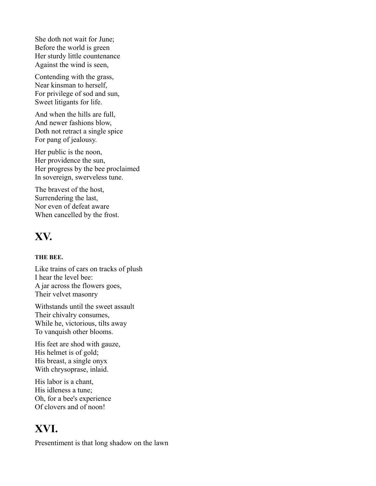She doth not wait for June; Before the world is green Her sturdy little countenance Against the wind is seen,

Contending with the grass, Near kinsman to herself, For privilege of sod and sun, Sweet litigants for life.

And when the hills are full, And newer fashions blow, Doth not retract a single spice For pang of jealousy.

Her public is the noon, Her providence the sun, Her progress by the bee proclaimed In sovereign, swerveless tune.

The bravest of the host, Surrendering the last, Nor even of defeat aware When cancelled by the frost.

### **XV.**

#### **THE BEE.**

Like trains of cars on tracks of plush I hear the level bee: A jar across the flowers goes, Their velvet masonry

Withstands until the sweet assault Their chivalry consumes, While he, victorious, tilts away To vanquish other blooms.

His feet are shod with gauze, His helmet is of gold; His breast, a single onyx With chrysoprase, inlaid.

His labor is a chant, His idleness a tune; Oh, for a bee's experience Of clovers and of noon!

### **XVI.**

Presentiment is that long shadow on the lawn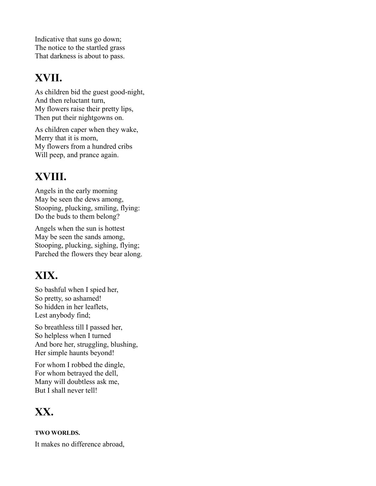Indicative that suns go down; The notice to the startled grass That darkness is about to pass.

### **XVII.**

As children bid the guest good-night, And then reluctant turn, My flowers raise their pretty lips, Then put their nightgowns on.

As children caper when they wake, Merry that it is morn, My flowers from a hundred cribs Will peep, and prance again.

### **XVIII.**

Angels in the early morning May be seen the dews among, Stooping, plucking, smiling, flying: Do the buds to them belong?

Angels when the sun is hottest May be seen the sands among, Stooping, plucking, sighing, flying; Parched the flowers they bear along.

### **XIX.**

So bashful when I spied her, So pretty, so ashamed! So hidden in her leaflets, Lest anybody find;

So breathless till I passed her, So helpless when I turned And bore her, struggling, blushing, Her simple haunts beyond!

For whom I robbed the dingle, For whom betrayed the dell, Many will doubtless ask me, But I shall never tell!

### **XX.**

**TWO WORLDS.**

It makes no difference abroad,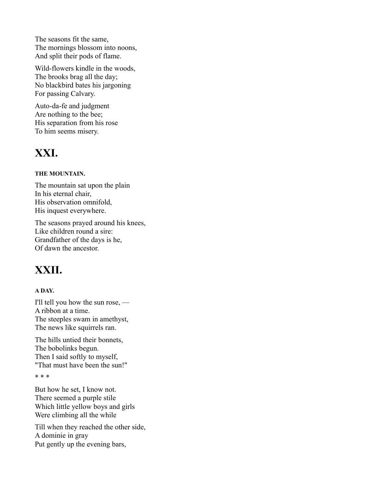The seasons fit the same, The mornings blossom into noons, And split their pods of flame.

Wild-flowers kindle in the woods, The brooks brag all the day; No blackbird bates his jargoning For passing Calvary.

Auto-da-fe and judgment Are nothing to the bee; His separation from his rose To him seems misery.

### **XXI.**

#### **THE MOUNTAIN.**

The mountain sat upon the plain In his eternal chair, His observation omnifold, His inquest everywhere.

The seasons prayed around his knees, Like children round a sire: Grandfather of the days is he, Of dawn the ancestor.

### **XXII.**

#### **A DAY.**

I'll tell you how the sun rose, — A ribbon at a time. The steeples swam in amethyst, The news like squirrels ran.

The hills untied their bonnets, The bobolinks begun. Then I said softly to myself, "That must have been the sun!"

\* \* \*

But how he set, I know not. There seemed a purple stile Which little yellow boys and girls Were climbing all the while

Till when they reached the other side, A dominie in gray Put gently up the evening bars,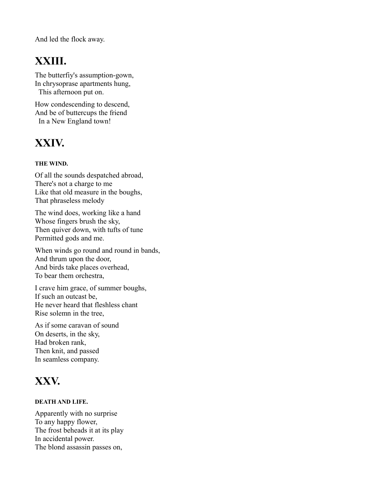And led the flock away.

### **XXIII.**

The butterfiy's assumption-gown, In chrysoprase apartments hung, This afternoon put on.

How condescending to descend, And be of buttercups the friend In a New England town!

### **XXIV.**

#### **THE WIND.**

Of all the sounds despatched abroad, There's not a charge to me Like that old measure in the boughs, That phraseless melody

The wind does, working like a hand Whose fingers brush the sky, Then quiver down, with tufts of tune Permitted gods and me.

When winds go round and round in bands, And thrum upon the door, And birds take places overhead, To bear them orchestra,

I crave him grace, of summer boughs, If such an outcast be, He never heard that fleshless chant Rise solemn in the tree,

As if some caravan of sound On deserts, in the sky, Had broken rank, Then knit, and passed In seamless company.

### **XXV.**

#### **DEATH AND LIFE.**

Apparently with no surprise To any happy flower, The frost beheads it at its play In accidental power. The blond assassin passes on,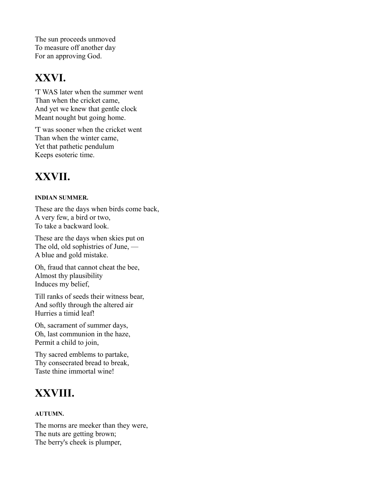The sun proceeds unmoved To measure off another day For an approving God.

### **XXVI.**

'T WAS later when the summer went Than when the cricket came, And yet we knew that gentle clock Meant nought but going home.

'T was sooner when the cricket went Than when the winter came, Yet that pathetic pendulum Keeps esoteric time.

### **XXVII.**

#### **INDIAN SUMMER.**

These are the days when birds come back, A very few, a bird or two, To take a backward look.

These are the days when skies put on The old, old sophistries of June, — A blue and gold mistake.

Oh, fraud that cannot cheat the bee, Almost thy plausibility Induces my belief,

Till ranks of seeds their witness bear, And softly through the altered air Hurries a timid leaf!

Oh, sacrament of summer days, Oh, last communion in the haze, Permit a child to join,

Thy sacred emblems to partake, Thy consecrated bread to break, Taste thine immortal wine!

### **XXVIII.**

#### **AUTUMN.**

The morns are meeker than they were, The nuts are getting brown; The berry's cheek is plumper,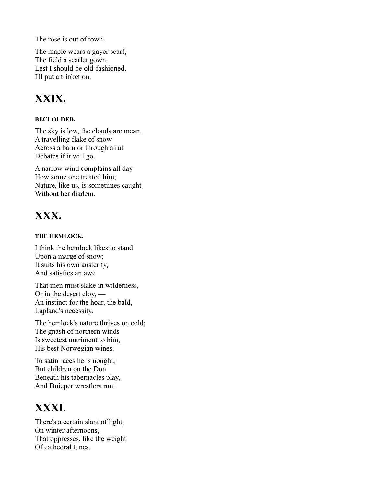The rose is out of town.

The maple wears a gayer scarf, The field a scarlet gown. Lest I should be old-fashioned, I'll put a trinket on.

### **XXIX.**

#### **BECLOUDED.**

The sky is low, the clouds are mean, A travelling flake of snow Across a barn or through a rut Debates if it will go.

A narrow wind complains all day How some one treated him; Nature, like us, is sometimes caught Without her diadem.

### **XXX.**

#### **THE HEMLOCK.**

I think the hemlock likes to stand Upon a marge of snow; It suits his own austerity, And satisfies an awe

That men must slake in wilderness, Or in the desert cloy, — An instinct for the hoar, the bald, Lapland's necessity.

The hemlock's nature thrives on cold; The gnash of northern winds Is sweetest nutriment to him, His best Norwegian wines.

To satin races he is nought; But children on the Don Beneath his tabernacles play, And Dnieper wrestlers run.

### **XXXI.**

There's a certain slant of light, On winter afternoons, That oppresses, like the weight Of cathedral tunes.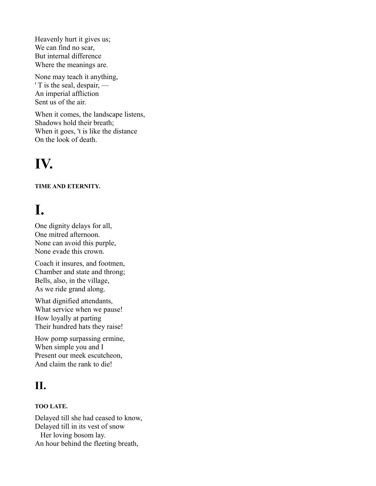Heavenly hurt it gives us; We can find no scar, But internal difference Where the meanings are.

None may teach it anything, ' T is the seal, despair, — An imperial affliction Sent us of the air.

When it comes, the landscape listens, Shadows hold their breath; When it goes, 't is like the distance On the look of death.

# **IV.**

#### **TIME AND ETERNITY.**

# **I.**

One dignity delays for all, One mitred afternoon. None can avoid this purple, None evade this crown.

Coach it insures, and footmen, Chamber and state and throng; Bells, also, in the village, As we ride grand along.

What dignified attendants, What service when we pause! How loyally at parting Their hundred hats they raise!

How pomp surpassing ermine, When simple you and I Present our meek escutcheon, And claim the rank to die!

### **II.**

#### **TOO LATE.**

Delayed till she had ceased to know, Delayed till in its vest of snow Her loving bosom lay. An hour behind the fleeting breath,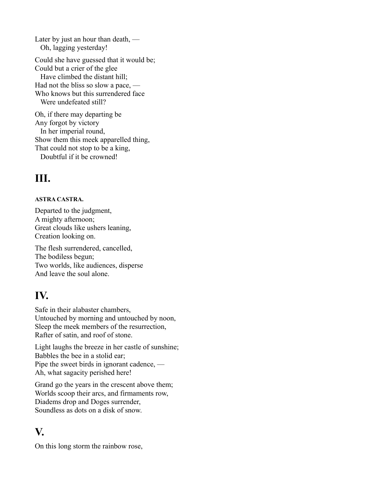Later by just an hour than death, — Oh, lagging yesterday! Could she have guessed that it would be; Could but a crier of the glee Have climbed the distant hill; Had not the bliss so slow a pace, — Who knows but this surrendered face Were undefeated still? Oh, if there may departing be

Any forgot by victory In her imperial round, Show them this meek apparelled thing, That could not stop to be a king, Doubtful if it be crowned!

### **III.**

#### **ASTRA CASTRA.**

Departed to the judgment, A mighty afternoon; Great clouds like ushers leaning, Creation looking on.

The flesh surrendered, cancelled, The bodiless begun; Two worlds, like audiences, disperse And leave the soul alone.

### **IV.**

Safe in their alabaster chambers, Untouched by morning and untouched by noon, Sleep the meek members of the resurrection, Rafter of satin, and roof of stone.

Light laughs the breeze in her castle of sunshine; Babbles the bee in a stolid ear; Pipe the sweet birds in ignorant cadence, — Ah, what sagacity perished here!

Grand go the years in the crescent above them; Worlds scoop their arcs, and firmaments row, Diadems drop and Doges surrender, Soundless as dots on a disk of snow.

### **V.**

On this long storm the rainbow rose,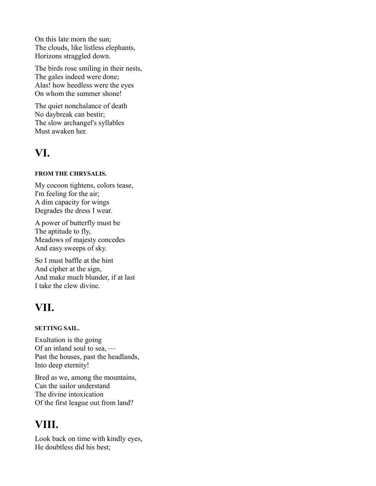On this late morn the sun; The clouds, like listless elephants, Horizons straggled down.

The birds rose smiling in their nests, The gales indeed were done; Alas! how heedless were the eyes On whom the summer shone!

The quiet nonchalance of death No daybreak can bestir; The slow archangel's syllables Must awaken her.

### **VI.**

#### **FROM THE CHRYSALIS.**

My cocoon tightens, colors tease, I'm feeling for the air; A dim capacity for wings Degrades the dress I wear.

A power of butterfly must be The aptitude to fly, Meadows of majesty concedes And easy sweeps of sky.

So I must baffle at the hint And cipher at the sign, And make much blunder, if at last I take the clew divine.

### **VII.**

#### **SETTING SAIL.**

Exultation is the going Of an inland soul to sea, — Past the houses, past the headlands, Into deep eternity!

Bred as we, among the mountains, Can the sailor understand The divine intoxication Of the first league out from land?

### **VIII.**

Look back on time with kindly eyes, He doubtless did his best;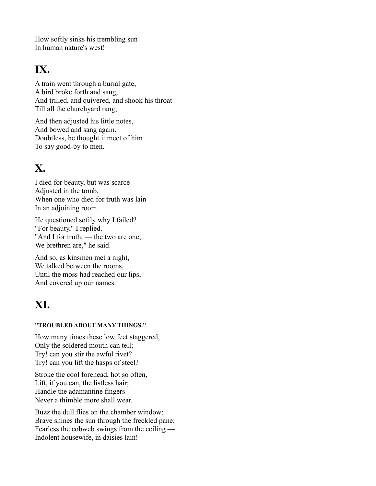How softly sinks his trembling sun In human nature's west!

### **IX.**

A train went through a burial gate, A bird broke forth and sang, And trilled, and quivered, and shook his throat Till all the churchyard rang;

And then adjusted his little notes, And bowed and sang again. Doubtless, he thought it meet of him To say good-by to men.

### **X.**

I died for beauty, but was scarce Adjusted in the tomb, When one who died for truth was lain In an adjoining room.

He questioned softly why I failed? "For beauty," I replied. "And I for truth, — the two are one; We brethren are," he said.

And so, as kinsmen met a night, We talked between the rooms, Until the moss had reached our lips, And covered up our names.

### **XI.**

#### **"TROUBLED ABOUT MANY THINGS."**

How many times these low feet staggered, Only the soldered mouth can tell; Try! can you stir the awful rivet? Try! can you lift the hasps of steel?

Stroke the cool forehead, hot so often, Lift, if you can, the listless hair; Handle the adamantine fingers Never a thimble more shall wear.

Buzz the dull flies on the chamber window; Brave shines the sun through the freckled pane; Fearless the cobweb swings from the ceiling — Indolent housewife, in daisies lain!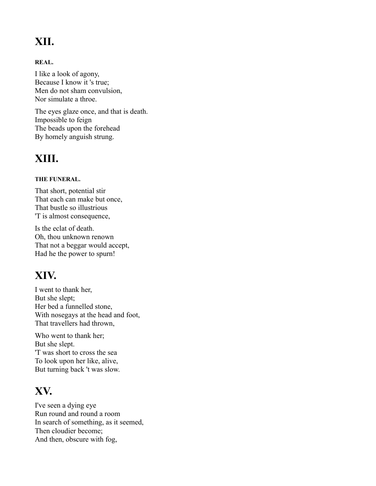### **XII.**

#### **REAL.**

I like a look of agony, Because I know it 's true; Men do not sham convulsion, Nor simulate a throe.

The eyes glaze once, and that is death. Impossible to feign The beads upon the forehead By homely anguish strung.

### **XIII.**

#### **THE FUNERAL.**

That short, potential stir That each can make but once, That bustle so illustrious 'T is almost consequence,

Is the eclat of death. Oh, thou unknown renown That not a beggar would accept, Had he the power to spurn!

### **XIV.**

I went to thank her, But she slept; Her bed a funnelled stone, With nosegays at the head and foot, That travellers had thrown,

Who went to thank her; But she slept. 'T was short to cross the sea To look upon her like, alive, But turning back 't was slow.

### **XV.**

I've seen a dying eye Run round and round a room In search of something, as it seemed, Then cloudier become; And then, obscure with fog,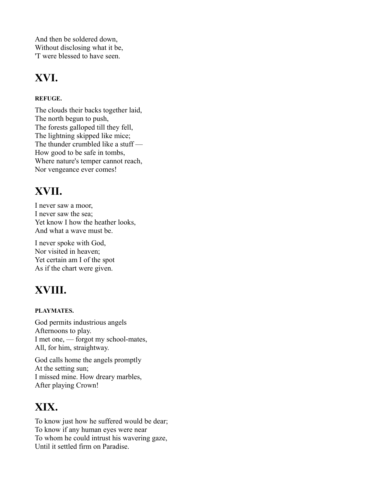And then be soldered down, Without disclosing what it be, 'T were blessed to have seen.

### **XVI.**

#### **REFUGE.**

The clouds their backs together laid, The north begun to push, The forests galloped till they fell, The lightning skipped like mice; The thunder crumbled like a stuff — How good to be safe in tombs, Where nature's temper cannot reach, Nor vengeance ever comes!

### **XVII.**

I never saw a moor, I never saw the sea; Yet know I how the heather looks, And what a wave must be.

I never spoke with God, Nor visited in heaven; Yet certain am I of the spot As if the chart were given.

### **XVIII.**

#### **PLAYMATES.**

God permits industrious angels Afternoons to play. I met one, — forgot my school-mates, All, for him, straightway.

God calls home the angels promptly At the setting sun; I missed mine. How dreary marbles, After playing Crown!

### **XIX.**

To know just how he suffered would be dear; To know if any human eyes were near To whom he could intrust his wavering gaze, Until it settled firm on Paradise.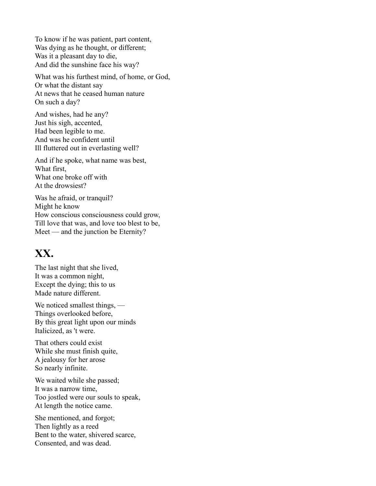To know if he was patient, part content, Was dying as he thought, or different; Was it a pleasant day to die, And did the sunshine face his way?

What was his furthest mind, of home, or God, Or what the distant say At news that he ceased human nature On such a day?

And wishes, had he any? Just his sigh, accented, Had been legible to me. And was he confident until Ill fluttered out in everlasting well?

And if he spoke, what name was best, What first, What one broke off with At the drowsiest?

Was he afraid, or tranquil? Might he know How conscious consciousness could grow, Till love that was, and love too blest to be, Meet — and the junction be Eternity?

### **XX.**

The last night that she lived, It was a common night, Except the dying; this to us Made nature different.

We noticed smallest things, — Things overlooked before, By this great light upon our minds Italicized, as 't were.

That others could exist While she must finish quite, A jealousy for her arose So nearly infinite.

We waited while she passed; It was a narrow time, Too jostled were our souls to speak, At length the notice came.

She mentioned, and forgot; Then lightly as a reed Bent to the water, shivered scarce, Consented, and was dead.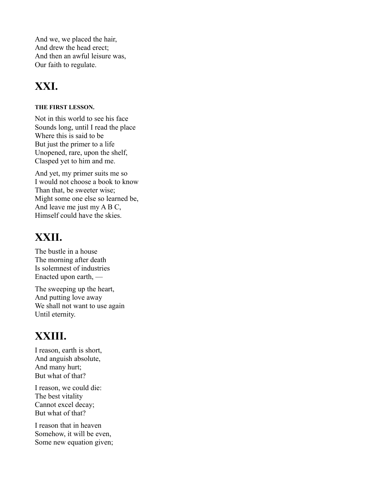And we, we placed the hair, And drew the head erect; And then an awful leisure was, Our faith to regulate.

### **XXI.**

#### **THE FIRST LESSON.**

Not in this world to see his face Sounds long, until I read the place Where this is said to be But just the primer to a life Unopened, rare, upon the shelf, Clasped yet to him and me.

And yet, my primer suits me so I would not choose a book to know Than that, be sweeter wise; Might some one else so learned be, And leave me just my A B C, Himself could have the skies.

### **XXII.**

The bustle in a house The morning after death Is solemnest of industries Enacted upon earth, —

The sweeping up the heart, And putting love away We shall not want to use again Until eternity.

### **XXIII.**

I reason, earth is short, And anguish absolute, And many hurt; But what of that?

I reason, we could die: The best vitality Cannot excel decay; But what of that?

I reason that in heaven Somehow, it will be even, Some new equation given;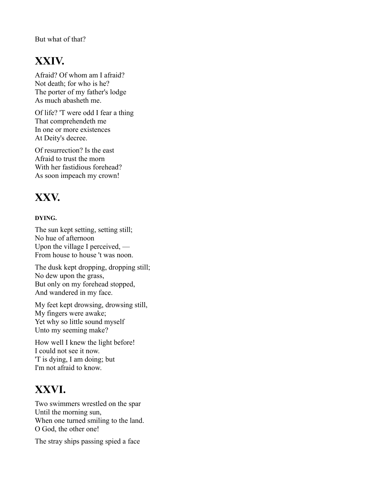But what of that?

### **XXIV.**

Afraid? Of whom am I afraid? Not death; for who is he? The porter of my father's lodge As much abasheth me.

Of life? 'T were odd I fear a thing That comprehendeth me In one or more existences At Deity's decree.

Of resurrection? Is the east Afraid to trust the morn With her fastidious forehead? As soon impeach my crown!

### **XXV.**

#### **DYING.**

The sun kept setting, setting still; No hue of afternoon Upon the village I perceived, — From house to house 't was noon.

The dusk kept dropping, dropping still; No dew upon the grass, But only on my forehead stopped, And wandered in my face.

My feet kept drowsing, drowsing still, My fingers were awake; Yet why so little sound myself Unto my seeming make?

How well I knew the light before! I could not see it now. 'T is dying, I am doing; but I'm not afraid to know.

### **XXVI.**

Two swimmers wrestled on the spar Until the morning sun, When one turned smiling to the land. O God, the other one!

The stray ships passing spied a face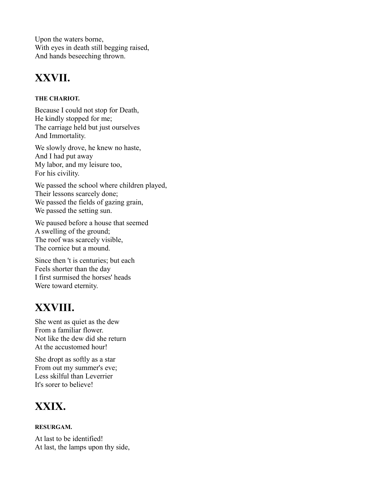Upon the waters borne, With eyes in death still begging raised, And hands beseeching thrown.

### **XXVII.**

#### **THE CHARIOT.**

Because I could not stop for Death, He kindly stopped for me; The carriage held but just ourselves And Immortality.

We slowly drove, he knew no haste, And I had put away My labor, and my leisure too, For his civility.

We passed the school where children played, Their lessons scarcely done; We passed the fields of gazing grain, We passed the setting sun.

We paused before a house that seemed A swelling of the ground; The roof was scarcely visible, The cornice but a mound.

Since then 't is centuries; but each Feels shorter than the day I first surmised the horses' heads Were toward eternity.

### **XXVIII.**

She went as quiet as the dew From a familiar flower. Not like the dew did she return At the accustomed hour!

She dropt as softly as a star From out my summer's eve; Less skilful than Leverrier It's sorer to believe!

### **XXIX.**

#### **RESURGAM.**

At last to be identified! At last, the lamps upon thy side,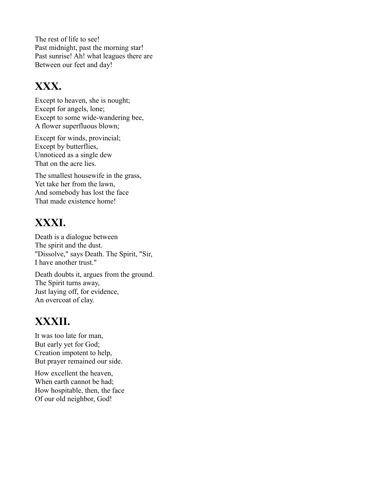The rest of life to see! Past midnight, past the morning star! Past sunrise! Ah! what leagues there are Between our feet and day!

### **XXX.**

Except to heaven, she is nought; Except for angels, lone; Except to some wide-wandering bee, A flower superfluous blown;

Except for winds, provincial; Except by butterflies, Unnoticed as a single dew That on the acre lies.

The smallest housewife in the grass, Yet take her from the lawn, And somebody has lost the face That made existence home!

### **XXXI.**

Death is a dialogue between The spirit and the dust. "Dissolve," says Death. The Spirit, "Sir, I have another trust."

Death doubts it, argues from the ground. The Spirit turns away, Just laying off, for evidence, An overcoat of clay.

### **XXXII.**

It was too late for man, But early yet for God; Creation impotent to help, But prayer remained our side.

How excellent the heaven, When earth cannot be had; How hospitable, then, the face Of our old neighbor, God!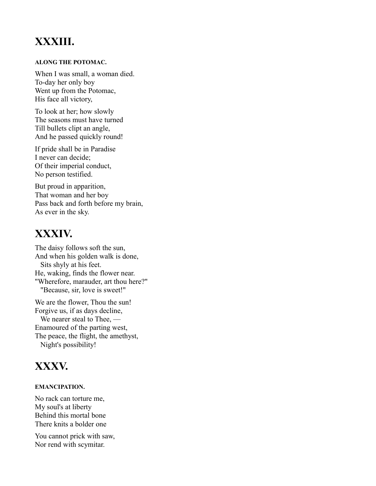### **XXXIII.**

#### **ALONG THE POTOMAC.**

When I was small, a woman died. To-day her only boy Went up from the Potomac, His face all victory,

To look at her; how slowly The seasons must have turned Till bullets clipt an angle, And he passed quickly round!

If pride shall be in Paradise I never can decide; Of their imperial conduct, No person testified.

But proud in apparition, That woman and her boy Pass back and forth before my brain, As ever in the sky.

### **XXXIV.**

The daisy follows soft the sun, And when his golden walk is done, Sits shyly at his feet. He, waking, finds the flower near. "Wherefore, marauder, art thou here?" "Because, sir, love is sweet!"

We are the flower, Thou the sun! Forgive us, if as days decline, We nearer steal to Thee, — Enamoured of the parting west, The peace, the flight, the amethyst, Night's possibility!

### **XXXV.**

#### **EMANCIPATION.**

No rack can torture me, My soul's at liberty Behind this mortal bone There knits a bolder one

You cannot prick with saw, Nor rend with scymitar.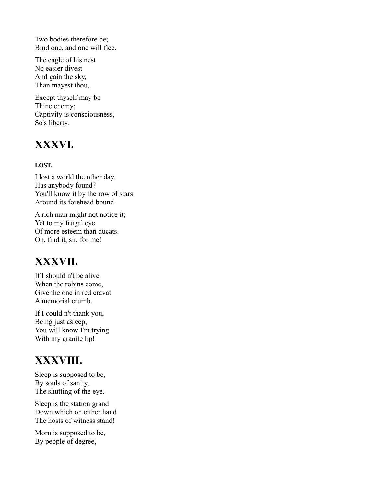Two bodies therefore be; Bind one, and one will flee.

The eagle of his nest No easier divest And gain the sky, Than mayest thou,

Except thyself may be Thine enemy; Captivity is consciousness, So's liberty.

### **XXXVI.**

#### **LOST.**

I lost a world the other day. Has anybody found? You'll know it by the row of stars Around its forehead bound.

A rich man might not notice it; Yet to my frugal eye Of more esteem than ducats. Oh, find it, sir, for me!

### **XXXVII.**

If I should n't be alive When the robins come, Give the one in red cravat A memorial crumb.

If I could n't thank you, Being just asleep, You will know I'm trying With my granite lip!

### **XXXVIII.**

Sleep is supposed to be, By souls of sanity, The shutting of the eye.

Sleep is the station grand Down which on either hand The hosts of witness stand!

Morn is supposed to be, By people of degree,